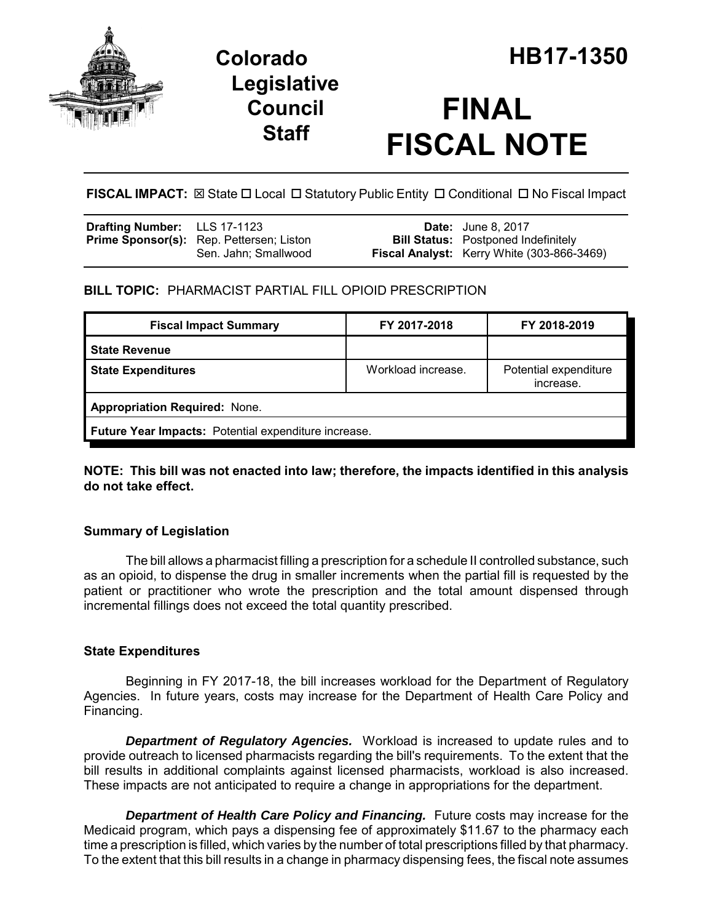

**Legislative Council Staff**

# **FINAL FISCAL NOTE**

FISCAL IMPACT:  $\boxtimes$  State  $\Box$  Local  $\Box$  Statutory Public Entity  $\Box$  Conditional  $\Box$  No Fiscal Impact

| <b>Drafting Number:</b> LLS 17-1123 |                                                 | <b>Date:</b> June 8, 2017                         |
|-------------------------------------|-------------------------------------------------|---------------------------------------------------|
|                                     | <b>Prime Sponsor(s):</b> Rep. Pettersen; Liston | <b>Bill Status:</b> Postponed Indefinitely        |
|                                     | Sen. Jahn: Smallwood                            | <b>Fiscal Analyst:</b> Kerry White (303-866-3469) |

## **BILL TOPIC:** PHARMACIST PARTIAL FILL OPIOID PRESCRIPTION

| <b>Fiscal Impact Summary</b>                         | FY 2017-2018       | FY 2018-2019                       |  |  |
|------------------------------------------------------|--------------------|------------------------------------|--|--|
| <b>State Revenue</b>                                 |                    |                                    |  |  |
| <b>State Expenditures</b>                            | Workload increase. | Potential expenditure<br>increase. |  |  |
| <b>Appropriation Required: None.</b>                 |                    |                                    |  |  |
| Future Year Impacts: Potential expenditure increase. |                    |                                    |  |  |

**NOTE: This bill was not enacted into law; therefore, the impacts identified in this analysis do not take effect.**

## **Summary of Legislation**

The bill allows a pharmacist filling a prescription for a schedule II controlled substance, such as an opioid, to dispense the drug in smaller increments when the partial fill is requested by the patient or practitioner who wrote the prescription and the total amount dispensed through incremental fillings does not exceed the total quantity prescribed.

## **State Expenditures**

Beginning in FY 2017-18, the bill increases workload for the Department of Regulatory Agencies. In future years, costs may increase for the Department of Health Care Policy and Financing.

*Department of Regulatory Agencies.* Workload is increased to update rules and to provide outreach to licensed pharmacists regarding the bill's requirements. To the extent that the bill results in additional complaints against licensed pharmacists, workload is also increased. These impacts are not anticipated to require a change in appropriations for the department.

**Department of Health Care Policy and Financing.** Future costs may increase for the Medicaid program, which pays a dispensing fee of approximately \$11.67 to the pharmacy each time a prescription is filled, which varies by the number of total prescriptions filled by that pharmacy. To the extent that this bill results in a change in pharmacy dispensing fees, the fiscal note assumes